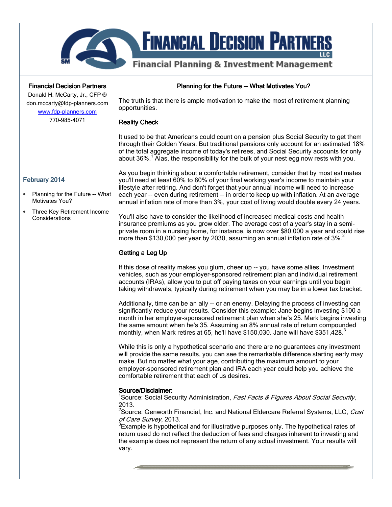

## **Financial Decision Partners**

Donald H. McCarty, Jr., CFP ® don.mccarty@fdp-planners.com www.fdp-planners.com

770-985-4071

## February 2014

- Planning for the Future -- What Motivates You?
- Three Key Retirement Income **Considerations**

Planning for the Future -- What Motivates You?

The truth is that there is ample motivation to make the most of retirement planning opportunities.

#### **Reality Check**

It used to be that Americans could count on a pension plus Social Security to get them through their Golden Years. But traditional pensions only account for an estimated 18% of the total aggregate income of today's retirees, and Social Security accounts for only about 36%.<sup>1</sup> Alas, the responsibility for the bulk of your nest egg now rests with you.

As you begin thinking about a comfortable retirement, consider that by most estimates you'll need at least 60% to 80% of your final working year's income to maintain your lifestyle after retiring. And don't forget that your annual income will need to increase each vear -- even during retirement -- in order to keep up with inflation. At an average annual inflation rate of more than 3%, your cost of living would double every 24 years.

You'll also have to consider the likelihood of increased medical costs and health insurance premiums as you grow older. The average cost of a year's stay in a semiprivate room in a nursing home, for instance, is now over \$80,000 a year and could rise more than \$130,000 per year by 2030, assuming an annual inflation rate of 3%.<sup>2</sup>

# Getting a Leg Up

If this dose of reality makes you glum, cheer up -- you have some allies. Investment vehicles, such as your employer-sponsored retirement plan and individual retirement accounts (IRAs), allow you to put off paying taxes on your earnings until you begin taking withdrawals, typically during retirement when you may be in a lower tax bracket.

Additionally, time can be an ally -- or an enemy. Delaying the process of investing can significantly reduce your results. Consider this example: Jane begins investing \$100 a month in her employer-sponsored retirement plan when she's 25. Mark begins investing the same amount when he's 35. Assuming an 8% annual rate of return compounded monthly, when Mark retires at 65, he'll have \$150,030. Jane will have  $$351,428.$ <sup>3</sup>

While this is only a hypothetical scenario and there are no guarantees any investment will provide the same results, you can see the remarkable difference starting early may make. But no matter what your age, contributing the maximum amount to your employer-sponsored retirement plan and IRA each year could help you achieve the comfortable retirement that each of us desires.

### Source/Disclaimer:

<sup>1</sup>Source: Social Security Administration, Fast Facts & Figures About Social Security, 2013.

<sup>2</sup>Source: Genworth Financial, Inc. and National Eldercare Referral Systems, LLC, Cost of Care Survey, 2013.

 $3$ Example is hypothetical and for illustrative purposes only. The hypothetical rates of return used do not reflect the deduction of fees and charges inherent to investing and the example does not represent the return of any actual investment. Your results will vary.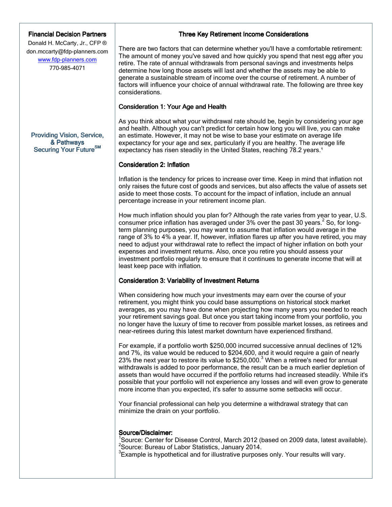## **Financial Decision Partners**

Donald H. McCarty, Jr., CFP ® don.mccarty@fdp-planners.com www.fdp-planners.com 770-985-4071

Providing Vision, Service, & Pathways Securing Your Future<sup>SM</sup>

### Three Key Retirement Income Considerations

There are two factors that can determine whether you'll have a comfortable retirement: The amount of money you've saved and how quickly you spend that nest egg after you retire. The rate of annual withdrawals from personal savings and investments helps determine how long those assets will last and whether the assets may be able to generate a sustainable stream of income over the course of retirement. A number of factors will influence your choice of annual withdrawal rate. The following are three key considerations.

#### Consideration 1: Your Age and Health

As you think about what your withdrawal rate should be, begin by considering your age and health. Although you can't predict for certain how long you will live, you can make an estimate. However, it may not be wise to base your estimate on average life expectancy for your age and sex, particularly if you are healthy. The average life expectancy has risen steadily in the United States, reaching 78.2 years.<sup>1</sup>

#### Consideration 2: Inflation

Inflation is the tendency for prices to increase over time. Keep in mind that inflation not only raises the future cost of goods and services, but also affects the value of assets set aside to meet those costs. To account for the impact of inflation, include an annual percentage increase in your retirement income plan.

How much inflation should you plan for? Although the rate varies from year to year, U.S. consumer price inflation has averaged under  $3\%$  over the past 30 years.  $^2$  So, for longterm planning purposes, you may want to assume that inflation would average in the range of 3% to 4% a year. If, however, inflation flares up after you have retired, you may need to adjust your withdrawal rate to reflect the impact of higher inflation on both your expenses and investment returns. Also, once you retire you should assess your investment portfolio regularly to ensure that it continues to generate income that will at least keep pace with inflation.

### Consideration 3: Variability of Investment Returns

When considering how much your investments may earn over the course of your retirement, you might think you could base assumptions on historical stock market averages, as you may have done when projecting how many years you needed to reach your retirement savings goal. But once you start taking income from your portfolio, you no longer have the luxury of time to recover from possible market losses, as retirees and near-retirees during this latest market downturn have experienced firsthand.

For example, if a portfolio worth \$250,000 incurred successive annual declines of 12% and 7%, its value would be reduced to \$204,600, and it would require a gain of nearly 23% the next year to restore its value to \$250,000. $3$  When a retiree's need for annual withdrawals is added to poor performance, the result can be a much earlier depletion of assets than would have occurred if the portfolio returns had increased steadily. While it's possible that your portfolio will not experience any losses and will even grow to generate more income than you expected, it's safer to assume some setbacks will occur.

Your financial professional can help you determine a withdrawal strategy that can minimize the drain on your portfolio.

### Source/Disclaimer:

<sup>1</sup>Source: Center for Disease Control, March 2012 (based on 2009 data, latest available).  $2$ Source: Bureau of Labor Statistics, January 2014.  $3$ Example is hypothetical and for illustrative purposes only. Your results will vary.